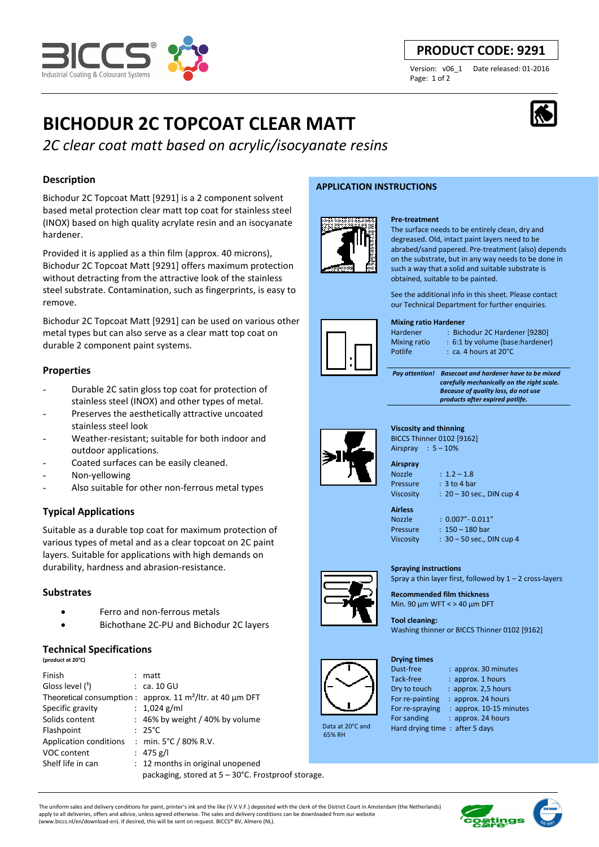

# **PRODUCT CODE: 9291**

Version: v06\_1 Date released: 01-2016 Page: 1 of 2

# **BICHODUR 2C TOPCOAT CLEAR MATT**



*2C clear coat matt based on acrylic/isocyanate resins* 

# **Description**

Bichodur 2C Topcoat Matt [9291] is a 2 component solvent based metal protection clear matt top coat for stainless steel (INOX) based on high quality acrylate resin and an isocyanate hardener.

Provided it is applied as a thin film (approx. 40 microns), Bichodur 2C Topcoat Matt [9291] offers maximum protection without detracting from the attractive look of the stainless steel substrate. Contamination, such as fingerprints, is easy to remove.

Bichodur 2C Topcoat Matt [9291] can be used on various other metal types but can also serve as a clear matt top coat on durable 2 component paint systems.

# **Properties**

- Durable 2C satin gloss top coat for protection of stainless steel (INOX) and other types of metal.
- Preserves the aesthetically attractive uncoated stainless steel look
- Weather-resistant: suitable for both indoor and outdoor applications.
- Coated surfaces can be easily cleaned.
- Non-yellowing
- Also suitable for other non-ferrous metal types

# **Typical Applications**

Suitable as a durable top coat for maximum protection of various types of metal and as a clear topcoat on 2C paint layers. Suitable for applications with high demands on durability, hardness and abrasion-resistance.

# **Substrates**

- Ferro and non-ferrous metals
- Bichothane 2C-PU and Bichodur 2C layers

# **Technical Specifications**

| (product at 20°C) |  |  |  |
|-------------------|--|--|--|
|                   |  |  |  |

| Finish                                             |  | $:$ matt                                                                      |  |  |
|----------------------------------------------------|--|-------------------------------------------------------------------------------|--|--|
| Gloss level ( <sup>1</sup> )                       |  | $\therefore$ ca. 10 GU                                                        |  |  |
|                                                    |  | Theoretical consumption : $approx.$ 11 m <sup>2</sup> /ltr. at 40 $\mu$ m DFT |  |  |
| Specific gravity                                   |  | : $1,024$ g/ml                                                                |  |  |
| Solids content                                     |  | $: 46\%$ by weight / 40% by volume                                            |  |  |
| Flashpoint                                         |  | $: 25^{\circ}$ C                                                              |  |  |
| <b>Application conditions</b>                      |  | : min. $5^{\circ}$ C / 80% R.V.                                               |  |  |
| VOC content                                        |  | : $475$ g/l                                                                   |  |  |
| Shelf life in can                                  |  | : 12 months in original unopened                                              |  |  |
| packaging, stored at 5 – 30°C. Frostproof storage. |  |                                                                               |  |  |

### **APPLICATION INSTRUCTIONS**



#### **Pre-treatment**

The surface needs to be entirely clean, dry and degreased. Old, intact paint layers need to be abrabed/sand papered. Pre-treatment (also) depends on the substrate, but in any way needs to be done in such a way that a solid and suitable substrate is obtained, suitable to be painted.

See the additional info in this sheet. Please contact our Technical Department for further enquiries.

#### **Mixing ratio Hardener**

Mixing ratio : 6:1 by volume (base:hardener)

Hardener : Bichodur 2C Hardener [9280]

Potlife : ca. 4 hours at 20°C

**Viscosity and thinning**  BICCS Thinner 0102 [9162]

 *Pay attention! Basecoat and hardener have to be mixed carefully mechanically on the right scale. Because of quality loss, do not use products after expired potlife.*





Nozzle : 1.2 – 1.8 Pressure : 3 to 4 bar Viscosity : 20 – 30 sec., DIN cup 4

**Airless** 

Nozzle : 0.007"- 0.011" Pressure  $\cdot$  150 – 180 bar Viscosity : 30 – 50 sec., DIN cup 4

## **Spraying instructions**

Spray a thin layer first, followed by  $1 - 2$  cross-layers

**Recommended film thickness**  Min. 90 µm WFT < > 40 µm DFT

**Tool cleaning:**  Washing thinner or BICCS Thinner 0102 [9162]



 Data at 20°C and 65% RH

For re-painting : approx. 24 hours<br>For re-spraying : approx. 10-15 mi For sanding : approx. 24 hours

**Drying times** 

- Dust-free : approx. 30 minutes
- Tack-free : approx. 1 hours
- Dry to touch : approx. 2,5 hours
	-
	- : approx. 10-15 minutes
- Hard drying time : after 5 days

The uniform sales and delivery conditions for paint, printer's ink and the like (V.V.V.F.) deposited with the clerk of the District Court in Amsterdam (the Netherlands) apply to all deliveries, offers and advice, unless agreed otherwise. The sales and delivery conditions can be downloaded from our website (www.biccs.nl/en/download-en). If desired, this will be sent on request. BICCS® BV, Almere (NL).